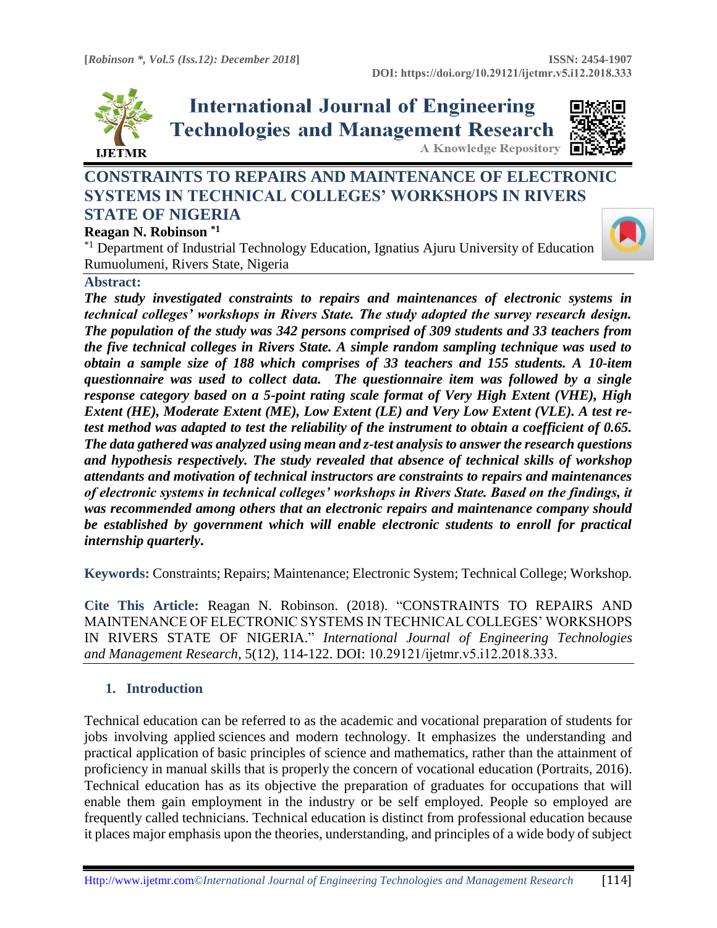

**International Journal of Engineering Technologies and Management Research A Knowledge Repository** 



# **CONSTRAINTS TO REPAIRS AND MAINTENANCE OF ELECTRONIC SYSTEMS IN TECHNICAL COLLEGES' WORKSHOPS IN RIVERS STATE OF NIGERIA**

# **Reagan N. Robinson \*1**

\*1 Department of Industrial Technology Education, Ignatius Ajuru University of Education Rumuolumeni, Rivers State, Nigeria

# **Abstract:**

*The study investigated constraints to repairs and maintenances of electronic systems in technical colleges' workshops in Rivers State. The study adopted the survey research design. The population of the study was 342 persons comprised of 309 students and 33 teachers from the five technical colleges in Rivers State. A simple random sampling technique was used to obtain a sample size of 188 which comprises of 33 teachers and 155 students. A 10-item questionnaire was used to collect data. The questionnaire item was followed by a single response category based on a 5-point rating scale format of Very High Extent (VHE), High Extent (HE), Moderate Extent (ME), Low Extent (LE) and Very Low Extent (VLE). A test retest method was adapted to test the reliability of the instrument to obtain a coefficient of 0.65. The data gathered was analyzed using mean and z-test analysis to answer the research questions and hypothesis respectively. The study revealed that absence of technical skills of workshop attendants and motivation of technical instructors are constraints to repairs and maintenances of electronic systems in technical colleges' workshops in Rivers State. Based on the findings, it was recommended among others that an electronic repairs and maintenance company should be established by government which will enable electronic students to enroll for practical internship quarterly***.**

**Keywords:** Constraints; Repairs; Maintenance; Electronic System; Technical College; Workshop*.* 

**Cite This Article:** Reagan N. Robinson. (2018). "CONSTRAINTS TO REPAIRS AND MAINTENANCE OF ELECTRONIC SYSTEMS IN TECHNICAL COLLEGES' WORKSHOPS IN RIVERS STATE OF NIGERIA." *International Journal of Engineering Technologies and Management Research,* 5(12), 114-122. DOI: 10.29121/ijetmr.v5.i12.2018.333.

# **1. Introduction**

Technical education can be referred to as the academic and vocational preparation of students for jobs involving applied [sciences](https://www.britannica.com/science/science) and modern technology. It emphasizes the understanding and practical application of basic principles of science and mathematics, rather than the attainment of proficiency in manual skills that is properly the concern of [vocational education](https://www.britannica.com/topic/vocational-education) (Portraits, 2016). Technical education has as its objective the preparation of graduates for occupations that will enable them gain employment in the industry or be self employed. People so employed are frequently called technicians. Technical education is distinct from [professional education](https://www.britannica.com/topic/professional-education) because it places major emphasis upon the theories, understanding, and principles of a wide body of subject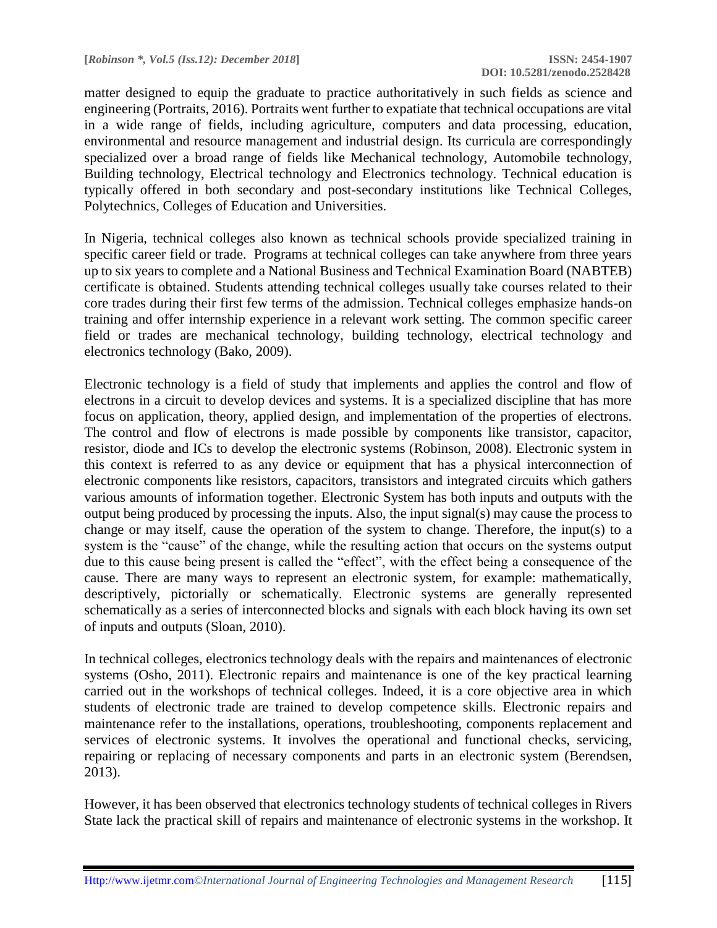matter designed to equip the graduate to practice authoritatively in such fields as science and engineering (Portraits, 2016). Portraits went further to expatiate that technical occupations are vital in a wide range of fields, including agriculture, computers and [data processing,](https://www.britannica.com/technology/data-processing) education, environmental and resource management and [industrial design.](https://www.britannica.com/topic/industrial-design) Its curricula are correspondingly specialized over a broad range of fields like Mechanical technology, Automobile technology, Building technology, Electrical technology and Electronics technology. Technical education is typically offered in both secondary and post-secondary institutions like Technical Colleges, Polytechnics, Colleges of Education and Universities.

In Nigeria, technical colleges also known as technical schools provide specialized training in specific career field or trade. Programs at technical colleges can take anywhere from three years up to six years to complete and a National Business and Technical Examination Board (NABTEB) certificate is obtained. Students attending technical colleges usually take courses related to their core trades during their first few terms of the admission. Technical colleges emphasize hands-on training and offer internship experience in a relevant work setting. The common specific career field or trades are mechanical technology, building technology, electrical technology and electronics technology (Bako, 2009).

Electronic technology is a field of study that implements and applies the control and flow of electrons in a circuit to develop devices and systems. It is a specialized discipline that has more focus on application, theory, applied design, and implementation of the properties of electrons. The control and flow of electrons is made possible by components like transistor, capacitor, resistor, diode and ICs to develop the electronic systems (Robinson, 2008). Electronic system in this context is referred to as any device or equipment that has a physical interconnection of electronic components like resistors, capacitors, transistors and integrated circuits which gathers various amounts of information together. Electronic System has both inputs and outputs with the output being produced by processing the inputs. Also, the input signal(s) may cause the process to change or may itself, cause the operation of the system to change. Therefore, the input(s) to a system is the "cause" of the change, while the resulting action that occurs on the systems output due to this cause being present is called the "effect", with the effect being a consequence of the cause. There are many ways to represent an electronic system, for example: mathematically, descriptively, pictorially or schematically. Electronic systems are generally represented schematically as a series of interconnected blocks and signals with each block having its own set of inputs and outputs (Sloan, 2010).

In technical colleges, electronics technology deals with the repairs and maintenances of electronic systems (Osho, 2011). Electronic repairs and maintenance is one of the key practical learning carried out in the workshops of technical colleges. Indeed, it is a core objective area in which students of electronic trade are trained to develop competence skills. Electronic repairs and maintenance refer to the installations, operations, troubleshooting, components replacement and services of electronic systems. It involves the operational and functional checks, servicing, repairing or replacing of necessary components and parts in an electronic system (Berendsen, 2013).

However, it has been observed that electronics technology students of technical colleges in Rivers State lack the practical skill of repairs and maintenance of electronic systems in the workshop. It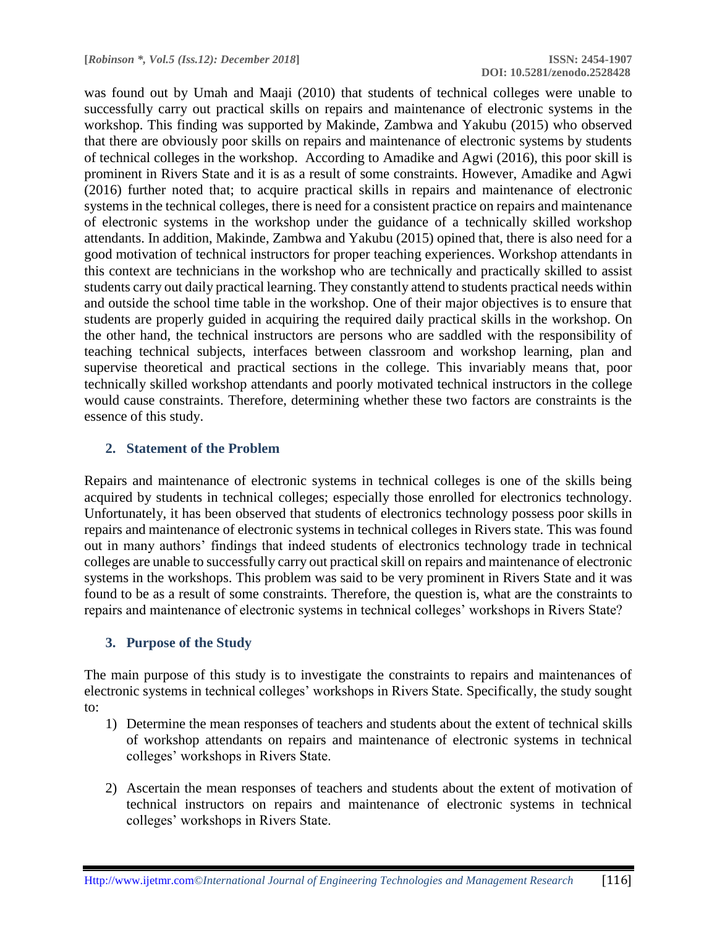was found out by Umah and Maaji (2010) that students of technical colleges were unable to successfully carry out practical skills on repairs and maintenance of electronic systems in the workshop. This finding was supported by Makinde, Zambwa and Yakubu (2015) who observed that there are obviously poor skills on repairs and maintenance of electronic systems by students of technical colleges in the workshop. According to Amadike and Agwi (2016), this poor skill is prominent in Rivers State and it is as a result of some constraints. However, Amadike and Agwi (2016) further noted that; to acquire practical skills in repairs and maintenance of electronic systems in the technical colleges, there is need for a consistent practice on repairs and maintenance of electronic systems in the workshop under the guidance of a technically skilled workshop attendants. In addition, Makinde, Zambwa and Yakubu (2015) opined that, there is also need for a good motivation of technical instructors for proper teaching experiences. Workshop attendants in this context are technicians in the workshop who are technically and practically skilled to assist students carry out daily practical learning. They constantly attend to students practical needs within and outside the school time table in the workshop. One of their major objectives is to ensure that students are properly guided in acquiring the required daily practical skills in the workshop. On the other hand, the technical instructors are persons who are saddled with the responsibility of teaching technical subjects, interfaces between classroom and workshop learning, plan and supervise theoretical and practical sections in the college. This invariably means that, poor technically skilled workshop attendants and poorly motivated technical instructors in the college would cause constraints. Therefore, determining whether these two factors are constraints is the essence of this study.

### **2. Statement of the Problem**

Repairs and maintenance of electronic systems in technical colleges is one of the skills being acquired by students in technical colleges; especially those enrolled for electronics technology. Unfortunately, it has been observed that students of electronics technology possess poor skills in repairs and maintenance of electronic systems in technical colleges in Rivers state. This was found out in many authors' findings that indeed students of electronics technology trade in technical colleges are unable to successfully carry out practical skill on repairs and maintenance of electronic systems in the workshops. This problem was said to be very prominent in Rivers State and it was found to be as a result of some constraints. Therefore, the question is, what are the constraints to repairs and maintenance of electronic systems in technical colleges' workshops in Rivers State?

#### **3. Purpose of the Study**

The main purpose of this study is to investigate the constraints to repairs and maintenances of electronic systems in technical colleges' workshops in Rivers State. Specifically, the study sought to:

- 1) Determine the mean responses of teachers and students about the extent of technical skills of workshop attendants on repairs and maintenance of electronic systems in technical colleges' workshops in Rivers State.
- 2) Ascertain the mean responses of teachers and students about the extent of motivation of technical instructors on repairs and maintenance of electronic systems in technical colleges' workshops in Rivers State.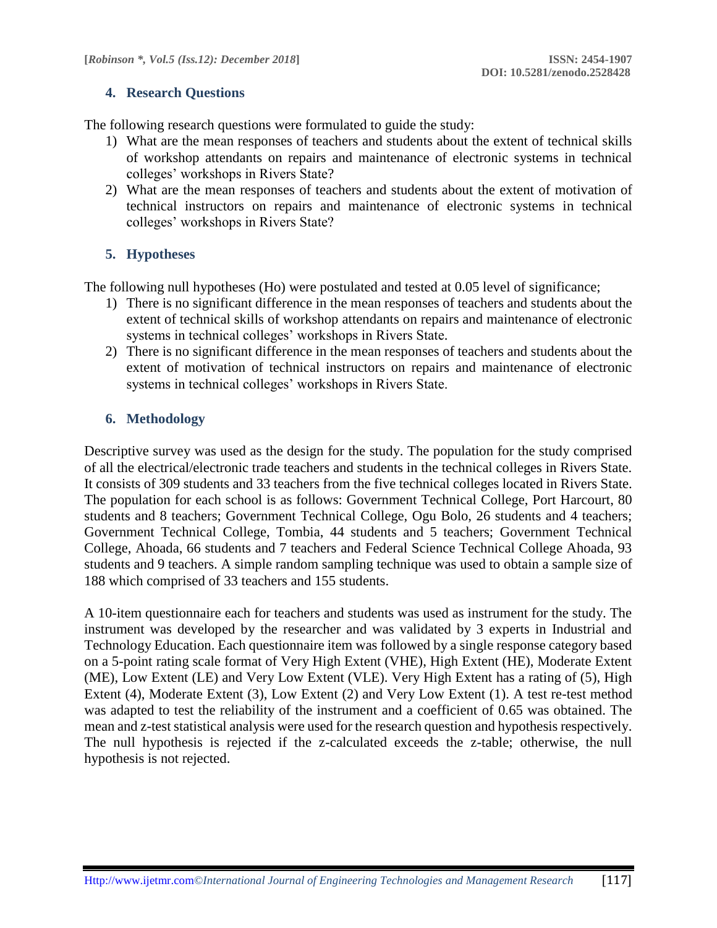### **4. Research Questions**

The following research questions were formulated to guide the study:

- 1) What are the mean responses of teachers and students about the extent of technical skills of workshop attendants on repairs and maintenance of electronic systems in technical colleges' workshops in Rivers State?
- 2) What are the mean responses of teachers and students about the extent of motivation of technical instructors on repairs and maintenance of electronic systems in technical colleges' workshops in Rivers State?

# **5. Hypotheses**

The following null hypotheses (Ho) were postulated and tested at 0.05 level of significance;

- 1) There is no significant difference in the mean responses of teachers and students about the extent of technical skills of workshop attendants on repairs and maintenance of electronic systems in technical colleges' workshops in Rivers State.
- 2) There is no significant difference in the mean responses of teachers and students about the extent of motivation of technical instructors on repairs and maintenance of electronic systems in technical colleges' workshops in Rivers State.

# **6. Methodology**

Descriptive survey was used as the design for the study. The population for the study comprised of all the electrical/electronic trade teachers and students in the technical colleges in Rivers State. It consists of 309 students and 33 teachers from the five technical colleges located in Rivers State. The population for each school is as follows: Government Technical College, Port Harcourt, 80 students and 8 teachers; Government Technical College, Ogu Bolo, 26 students and 4 teachers; Government Technical College, Tombia, 44 students and 5 teachers; Government Technical College, Ahoada, 66 students and 7 teachers and Federal Science Technical College Ahoada, 93 students and 9 teachers. A simple random sampling technique was used to obtain a sample size of 188 which comprised of 33 teachers and 155 students.

A 10-item questionnaire each for teachers and students was used as instrument for the study. The instrument was developed by the researcher and was validated by 3 experts in Industrial and Technology Education. Each questionnaire item was followed by a single response category based on a 5-point rating scale format of Very High Extent (VHE), High Extent (HE), Moderate Extent (ME), Low Extent (LE) and Very Low Extent (VLE). Very High Extent has a rating of (5), High Extent (4), Moderate Extent (3), Low Extent (2) and Very Low Extent (1). A test re-test method was adapted to test the reliability of the instrument and a coefficient of 0.65 was obtained. The mean and z-test statistical analysis were used for the research question and hypothesis respectively. The null hypothesis is rejected if the z-calculated exceeds the z-table; otherwise, the null hypothesis is not rejected.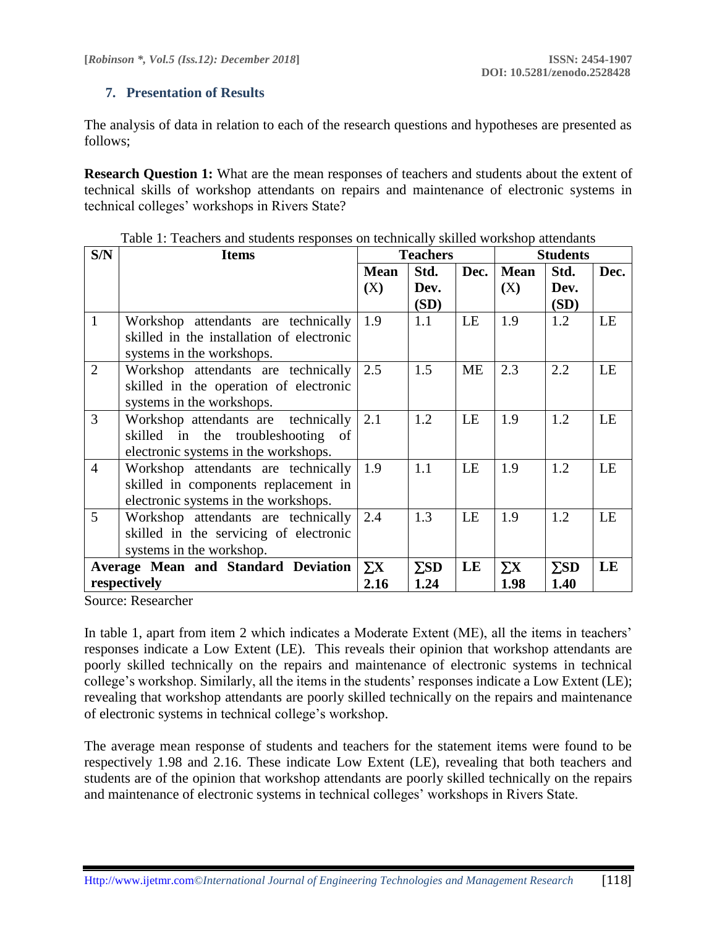# **7. Presentation of Results**

The analysis of data in relation to each of the research questions and hypotheses are presented as follows;

**Research Question 1:** What are the mean responses of teachers and students about the extent of technical skills of workshop attendants on repairs and maintenance of electronic systems in technical colleges' workshops in Rivers State?

| S/N            | <b>Items</b>                              |             | <b>Teachers</b> |           | <b>Students</b> |             |      |
|----------------|-------------------------------------------|-------------|-----------------|-----------|-----------------|-------------|------|
|                |                                           | <b>Mean</b> | Std.            | Dec.      | <b>Mean</b>     | Std.        | Dec. |
|                |                                           | (X)         | Dev.            |           | (X)             | Dev.        |      |
|                |                                           |             | (SD)            |           |                 | (SD)        |      |
| $\mathbf{1}$   | Workshop attendants are technically       | 1.9         | 1.1             | LE        | 1.9             | 1.2         | LE   |
|                | skilled in the installation of electronic |             |                 |           |                 |             |      |
|                | systems in the workshops.                 |             |                 |           |                 |             |      |
| $\overline{2}$ | Workshop attendants are technically       | 2.5         | 1.5             | <b>ME</b> | 2.3             | 2.2         | LE   |
|                | skilled in the operation of electronic    |             |                 |           |                 |             |      |
|                | systems in the workshops.                 |             |                 |           |                 |             |      |
| $\overline{3}$ | Workshop attendants are technically       | 2.1         | 1.2             | LE        | 1.9             | 1.2         | LE   |
|                | skilled in the troubleshooting of         |             |                 |           |                 |             |      |
|                | electronic systems in the workshops.      |             |                 |           |                 |             |      |
| $\overline{4}$ | Workshop attendants are technically       | 1.9         | 1.1             | LE        | 1.9             | 1.2         | LE   |
|                | skilled in components replacement in      |             |                 |           |                 |             |      |
|                | electronic systems in the workshops.      |             |                 |           |                 |             |      |
| $\overline{5}$ | Workshop attendants are technically       | 2.4         | 1.3             | LE        | 1.9             | 1.2         | LE   |
|                | skilled in the servicing of electronic    |             |                 |           |                 |             |      |
|                | systems in the workshop.                  |             |                 |           |                 |             |      |
|                | Average Mean and Standard Deviation       | $\sum X$    | $\Sigma SD$     | LE        | $\Sigma$ X      | $\Sigma SD$ | LE   |
|                | respectively                              | 2.16        | 1.24            |           | 1.98            | 1.40        |      |

Table 1: Teachers and students responses on technically skilled workshop attendants

Source: Researcher

In table 1, apart from item 2 which indicates a Moderate Extent (ME), all the items in teachers' responses indicate a Low Extent (LE). This reveals their opinion that workshop attendants are poorly skilled technically on the repairs and maintenance of electronic systems in technical college's workshop. Similarly, all the items in the students' responses indicate a Low Extent (LE); revealing that workshop attendants are poorly skilled technically on the repairs and maintenance of electronic systems in technical college's workshop.

The average mean response of students and teachers for the statement items were found to be respectively 1.98 and 2.16. These indicate Low Extent (LE), revealing that both teachers and students are of the opinion that workshop attendants are poorly skilled technically on the repairs and maintenance of electronic systems in technical colleges' workshops in Rivers State.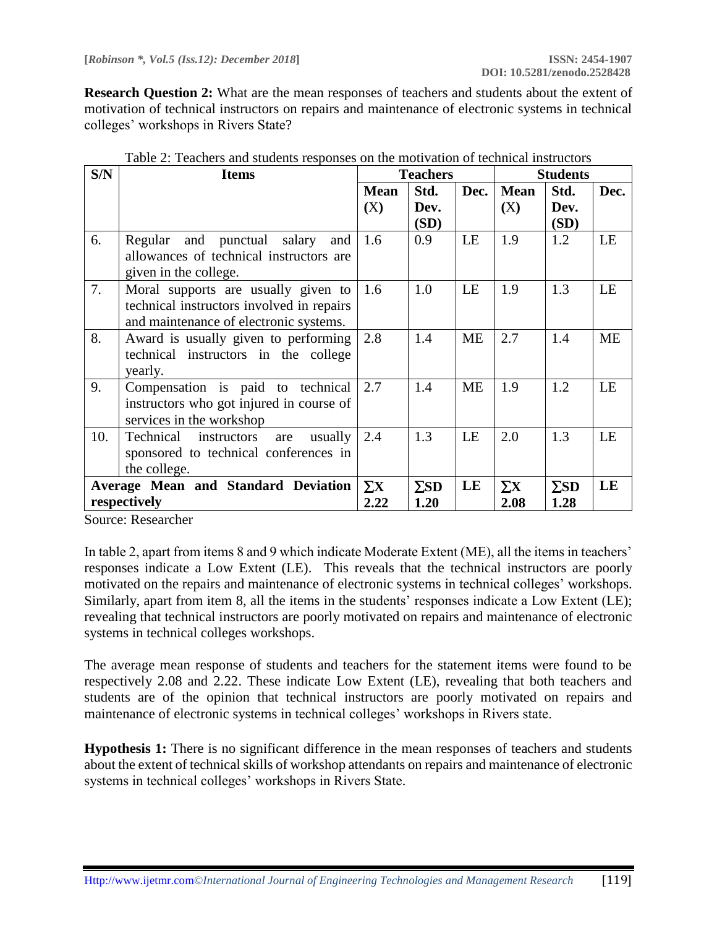**Research Question 2:** What are the mean responses of teachers and students about the extent of motivation of technical instructors on repairs and maintenance of electronic systems in technical colleges' workshops in Rivers State?

| S/N | <b>Items</b>                              |             | <b>Teachers</b> |           | <b>Students</b> |             |           |
|-----|-------------------------------------------|-------------|-----------------|-----------|-----------------|-------------|-----------|
|     |                                           | <b>Mean</b> | Std.            | Dec.      | <b>Mean</b>     | Std.        | Dec.      |
|     |                                           | (X)         | Dev.            |           | (X)             | Dev.        |           |
|     |                                           |             | (SD)            |           |                 | (SD)        |           |
| 6.  | Regular and punctual salary<br>and        | 1.6         | 0.9             | LE        | 1.9             | 1.2         | LE        |
|     | allowances of technical instructors are   |             |                 |           |                 |             |           |
|     | given in the college.                     |             |                 |           |                 |             |           |
| 7.  | Moral supports are usually given to       | 1.6         | 1.0             | LE        | 1.9             | 1.3         | LE        |
|     | technical instructors involved in repairs |             |                 |           |                 |             |           |
|     | and maintenance of electronic systems.    |             |                 |           |                 |             |           |
| 8.  | Award is usually given to performing      | 2.8         | 1.4             | <b>ME</b> | 2.7             | 1.4         | <b>ME</b> |
|     | technical instructors in the college      |             |                 |           |                 |             |           |
|     | yearly.                                   |             |                 |           |                 |             |           |
| 9.  | Compensation is paid to technical         | 2.7         | 1.4             | <b>ME</b> | 1.9             | 1.2         | LE        |
|     | instructors who got injured in course of  |             |                 |           |                 |             |           |
|     | services in the workshop                  |             |                 |           |                 |             |           |
| 10. | Technical instructors<br>usually<br>are   | 2.4         | 1.3             | LE        | 2.0             | 1.3         | LE        |
|     | sponsored to technical conferences in     |             |                 |           |                 |             |           |
|     | the college.                              |             |                 |           |                 |             |           |
|     | Average Mean and Standard Deviation       | $\Sigma X$  | $\Sigma SD$     | LE        | $\Sigma$ X      | $\Sigma SD$ | LE        |
|     | respectively                              | 2.22        | 1.20            |           | 2.08            | 1.28        |           |

| Table 2: Teachers and students responses on the motivation of technical instructors |  |
|-------------------------------------------------------------------------------------|--|
|-------------------------------------------------------------------------------------|--|

Source: Researcher

In table 2, apart from items 8 and 9 which indicate Moderate Extent (ME), all the items in teachers' responses indicate a Low Extent (LE). This reveals that the technical instructors are poorly motivated on the repairs and maintenance of electronic systems in technical colleges' workshops. Similarly, apart from item 8, all the items in the students' responses indicate a Low Extent (LE); revealing that technical instructors are poorly motivated on repairs and maintenance of electronic systems in technical colleges workshops.

The average mean response of students and teachers for the statement items were found to be respectively 2.08 and 2.22. These indicate Low Extent (LE), revealing that both teachers and students are of the opinion that technical instructors are poorly motivated on repairs and maintenance of electronic systems in technical colleges' workshops in Rivers state.

**Hypothesis 1:** There is no significant difference in the mean responses of teachers and students about the extent of technical skills of workshop attendants on repairs and maintenance of electronic systems in technical colleges' workshops in Rivers State.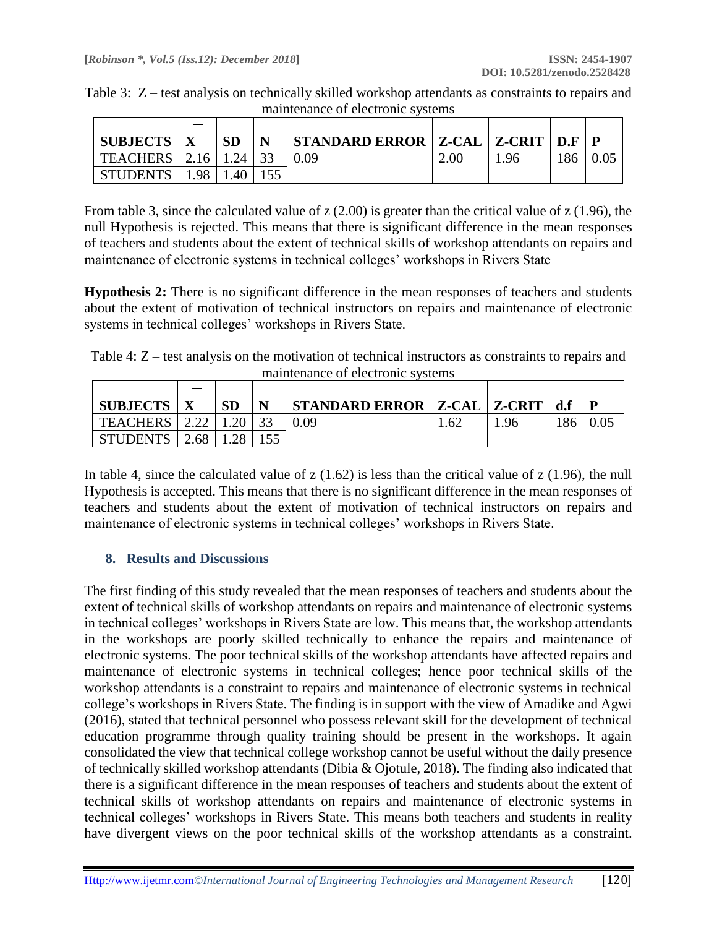|  | Table 3: Z – test analysis on technically skilled workshop attendants as constraints to repairs and |  |  |
|--|-----------------------------------------------------------------------------------------------------|--|--|
|  | maintenance of electronic systems                                                                   |  |  |

| <b>SUBJECTS</b> |      | <b>SD</b> | N  | STANDARD ERROR $ Z$ -CAL $ Z$ -CRIT $ $ D.F $ $ |      |     |     |  |
|-----------------|------|-----------|----|-------------------------------------------------|------|-----|-----|--|
| <b>TEACHERS</b> | 2.16 | 1.24      | 33 |                                                 | 2.00 | .96 | 186 |  |
| <b>STUDENTS</b> | 1.98 | .40       |    |                                                 |      |     |     |  |

From table 3, since the calculated value of z (2.00) is greater than the critical value of z (1.96), the null Hypothesis is rejected. This means that there is significant difference in the mean responses of teachers and students about the extent of technical skills of workshop attendants on repairs and maintenance of electronic systems in technical colleges' workshops in Rivers State

**Hypothesis 2:** There is no significant difference in the mean responses of teachers and students about the extent of motivation of technical instructors on repairs and maintenance of electronic systems in technical colleges' workshops in Rivers State.

Table 4: Z – test analysis on the motivation of technical instructors as constraints to repairs and maintenance of electronic systems

| <b>SUBJECTS</b> |      | <b>SD</b> | N | STANDARD ERROR   Z-CAL   Z-CRIT   d.f |      |      |     |  |
|-----------------|------|-----------|---|---------------------------------------|------|------|-----|--|
| TEACHERS   2.22 |      | .20       |   |                                       | 1.62 | 1.96 | 186 |  |
| <b>STUDENTS</b> | 2.68 | 1.28      |   |                                       |      |      |     |  |

In table 4, since the calculated value of  $z(1.62)$  is less than the critical value of  $z(1.96)$ , the null Hypothesis is accepted. This means that there is no significant difference in the mean responses of teachers and students about the extent of motivation of technical instructors on repairs and maintenance of electronic systems in technical colleges' workshops in Rivers State.

# **8. Results and Discussions**

The first finding of this study revealed that the mean responses of teachers and students about the extent of technical skills of workshop attendants on repairs and maintenance of electronic systems in technical colleges' workshops in Rivers State are low. This means that, the workshop attendants in the workshops are poorly skilled technically to enhance the repairs and maintenance of electronic systems. The poor technical skills of the workshop attendants have affected repairs and maintenance of electronic systems in technical colleges; hence poor technical skills of the workshop attendants is a constraint to repairs and maintenance of electronic systems in technical college's workshops in Rivers State. The finding is in support with the view of Amadike and Agwi (2016), stated that technical personnel who possess relevant skill for the development of technical education programme through quality training should be present in the workshops. It again consolidated the view that technical college workshop cannot be useful without the daily presence of technically skilled workshop attendants (Dibia & Ojotule, 2018). The finding also indicated that there is a significant difference in the mean responses of teachers and students about the extent of technical skills of workshop attendants on repairs and maintenance of electronic systems in technical colleges' workshops in Rivers State. This means both teachers and students in reality have divergent views on the poor technical skills of the workshop attendants as a constraint.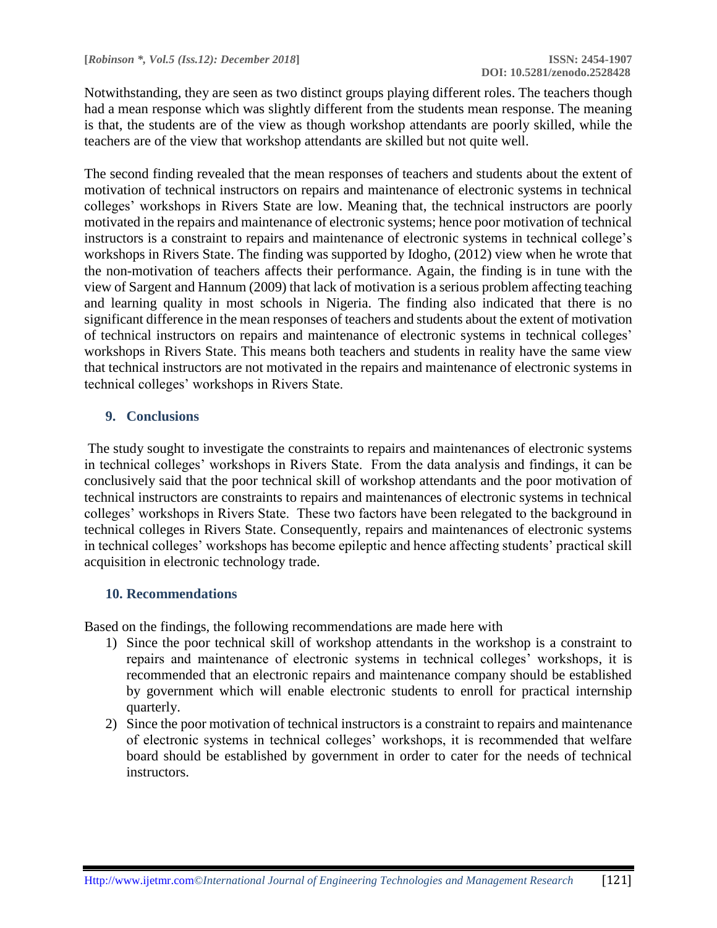Notwithstanding, they are seen as two distinct groups playing different roles. The teachers though had a mean response which was slightly different from the students mean response. The meaning is that, the students are of the view as though workshop attendants are poorly skilled, while the teachers are of the view that workshop attendants are skilled but not quite well.

The second finding revealed that the mean responses of teachers and students about the extent of motivation of technical instructors on repairs and maintenance of electronic systems in technical colleges' workshops in Rivers State are low. Meaning that, the technical instructors are poorly motivated in the repairs and maintenance of electronic systems; hence poor motivation of technical instructors is a constraint to repairs and maintenance of electronic systems in technical college's workshops in Rivers State. The finding was supported by Idogho, (2012) view when he wrote that the non-motivation of teachers affects their performance. Again, the finding is in tune with the view of Sargent and Hannum (2009) that lack of motivation is a serious problem affecting teaching and learning quality in most schools in Nigeria. The finding also indicated that there is no significant difference in the mean responses of teachers and students about the extent of motivation of technical instructors on repairs and maintenance of electronic systems in technical colleges' workshops in Rivers State. This means both teachers and students in reality have the same view that technical instructors are not motivated in the repairs and maintenance of electronic systems in technical colleges' workshops in Rivers State.

# **9. Conclusions**

The study sought to investigate the constraints to repairs and maintenances of electronic systems in technical colleges' workshops in Rivers State. From the data analysis and findings, it can be conclusively said that the poor technical skill of workshop attendants and the poor motivation of technical instructors are constraints to repairs and maintenances of electronic systems in technical colleges' workshops in Rivers State. These two factors have been relegated to the background in technical colleges in Rivers State. Consequently, repairs and maintenances of electronic systems in technical colleges' workshops has become epileptic and hence affecting students' practical skill acquisition in electronic technology trade.

# **10. Recommendations**

Based on the findings, the following recommendations are made here with

- 1) Since the poor technical skill of workshop attendants in the workshop is a constraint to repairs and maintenance of electronic systems in technical colleges' workshops, it is recommended that an electronic repairs and maintenance company should be established by government which will enable electronic students to enroll for practical internship quarterly.
- 2) Since the poor motivation of technical instructors is a constraint to repairs and maintenance of electronic systems in technical colleges' workshops, it is recommended that welfare board should be established by government in order to cater for the needs of technical instructors.